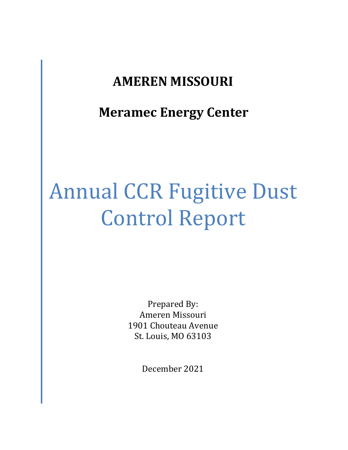# **AMEREN MISSOURI**

**Meramec Energy Center**

# Annual CCR Fugitive Dust Control Report

Prepared By: Ameren Missouri 1901 Chouteau Avenue St. Louis, MO 63103

December 2021